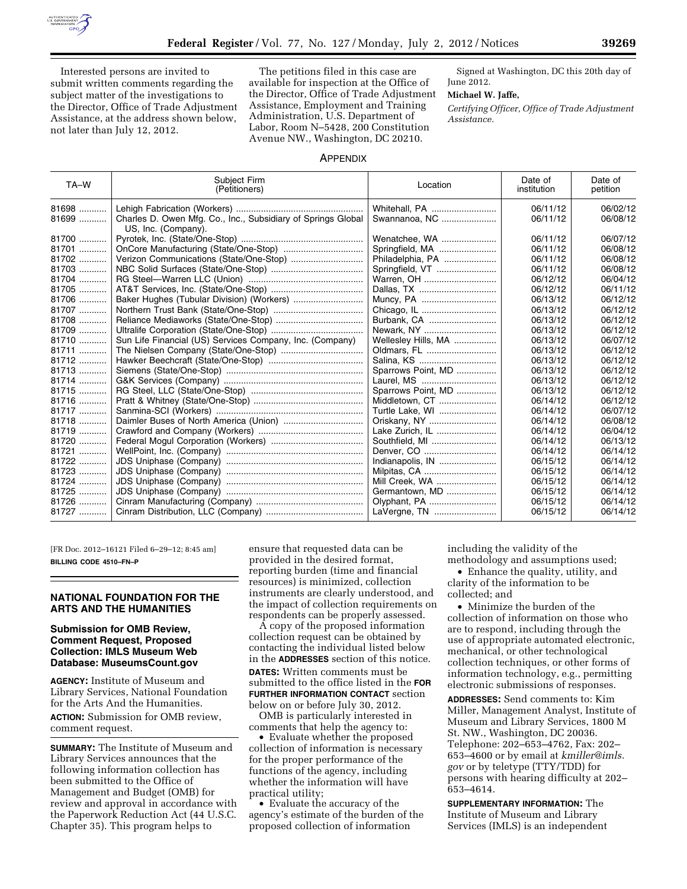

Interested persons are invited to submit written comments regarding the subject matter of the investigations to the Director, Office of Trade Adjustment Assistance, at the address shown below, not later than July 12, 2012.

The petitions filed in this case are available for inspection at the Office of the Director, Office of Trade Adjustment Assistance, Employment and Training Administration, U.S. Department of Labor, Room N–5428, 200 Constitution Avenue NW., Washington, DC 20210.

Signed at Washington, DC this 20th day of June 2012.

#### **Michael W. Jaffe,**

*Certifying Officer, Office of Trade Adjustment Assistance.* 

### APPENDIX

| TA-W    | Subject Firm<br>(Petitioners)                                                       | Location            | Date of<br>institution | Date of<br>petition |
|---------|-------------------------------------------------------------------------------------|---------------------|------------------------|---------------------|
| 81698   |                                                                                     | Whitehall, PA       | 06/11/12               | 06/02/12            |
| $81699$ | Charles D. Owen Mfg. Co., Inc., Subsidiary of Springs Global<br>US, Inc. (Company). | Swannanoa, NC       | 06/11/12               | 06/08/12            |
| 81700   |                                                                                     | Wenatchee, WA       | 06/11/12               | 06/07/12            |
| 81701   |                                                                                     | Springfield, MA     | 06/11/12               | 06/08/12            |
| 81702   | Verizon Communications (State/One-Stop)                                             | Philadelphia, PA    | 06/11/12               | 06/08/12            |
| $81703$ |                                                                                     | Springfield, VT     | 06/11/12               | 06/08/12            |
| 81704   |                                                                                     | Warren, OH          | 06/12/12               | 06/04/12            |
| 81705   |                                                                                     |                     | 06/12/12               | 06/11/12            |
| 81706   | Baker Hughes (Tubular Division) (Workers)                                           | Muncy, PA           | 06/13/12               | 06/12/12            |
| 81707   |                                                                                     | Chicago, IL         | 06/13/12               | 06/12/12            |
| 81708   |                                                                                     | Burbank, CA         | 06/13/12               | 06/12/12            |
| 81709   |                                                                                     | Newark, NY          | 06/13/12               | 06/12/12            |
| 81710   | Sun Life Financial (US) Services Company, Inc. (Company)                            | Wellesley Hills, MA | 06/13/12               | 06/07/12            |
| 81711   |                                                                                     | Oldmars, FL         | 06/13/12               | 06/12/12            |
| 81712   |                                                                                     | Salina, KS          | 06/13/12               | 06/12/12            |
| $81713$ |                                                                                     | Sparrows Point, MD  | 06/13/12               | 06/12/12            |
| 81714   |                                                                                     | Laurel, MS          | 06/13/12               | 06/12/12            |
| 81715   |                                                                                     | Sparrows Point, MD  | 06/13/12               | 06/12/12            |
| 81716   |                                                                                     | Middletown, CT      | 06/14/12               | 06/12/12            |
| 81717   |                                                                                     | Turtle Lake, WI     | 06/14/12               | 06/07/12            |
| 81718   |                                                                                     |                     | 06/14/12               | 06/08/12            |
| $81719$ |                                                                                     | Lake Zurich, IL     | 06/14/12               | 06/04/12            |
| 81720   |                                                                                     | Southfield, MI      | 06/14/12               | 06/13/12            |
| 81721   |                                                                                     | Denver, CO          | 06/14/12               | 06/14/12            |
| 81722   |                                                                                     | Indianapolis, IN    | 06/15/12               | 06/14/12            |
| 81723   |                                                                                     |                     | 06/15/12               | 06/14/12            |
| 81724   |                                                                                     | Mill Creek, WA      | 06/15/12               | 06/14/12            |
| 81725   |                                                                                     | Germantown, MD      | 06/15/12               | 06/14/12            |
| 81726   |                                                                                     | Olyphant, PA        | 06/15/12               | 06/14/12            |
| 81727   |                                                                                     | LaVergne, TN        | 06/15/12               | 06/14/12            |

[FR Doc. 2012–16121 Filed 6–29–12; 8:45 am] **BILLING CODE 4510–FN–P** 

# **NATIONAL FOUNDATION FOR THE ARTS AND THE HUMANITIES**

### **Submission for OMB Review, Comment Request, Proposed Collection: IMLS Museum Web Database: MuseumsCount.gov**

**AGENCY:** Institute of Museum and Library Services, National Foundation for the Arts And the Humanities. **ACTION:** Submission for OMB review, comment request.

**SUMMARY:** The Institute of Museum and Library Services announces that the following information collection has been submitted to the Office of Management and Budget (OMB) for review and approval in accordance with the Paperwork Reduction Act (44 U.S.C. Chapter 35). This program helps to

ensure that requested data can be provided in the desired format, reporting burden (time and financial resources) is minimized, collection instruments are clearly understood, and the impact of collection requirements on respondents can be properly assessed.

A copy of the proposed information collection request can be obtained by contacting the individual listed below in the **ADDRESSES** section of this notice. **DATES:** Written comments must be submitted to the office listed in the **FOR FURTHER INFORMATION CONTACT** section below on or before July 30, 2012.

OMB is particularly interested in comments that help the agency to:

• Evaluate whether the proposed collection of information is necessary for the proper performance of the functions of the agency, including whether the information will have practical utility;

• Evaluate the accuracy of the agency's estimate of the burden of the proposed collection of information

including the validity of the

methodology and assumptions used; • Enhance the quality, utility, and clarity of the information to be collected; and

• Minimize the burden of the collection of information on those who are to respond, including through the use of appropriate automated electronic, mechanical, or other technological collection techniques, or other forms of information technology, e.g., permitting electronic submissions of responses.

**ADDRESSES:** Send comments to: Kim Miller, Management Analyst, Institute of Museum and Library Services, 1800 M St. NW., Washington, DC 20036. Telephone: 202–653–4762, Fax: 202– 653–4600 or by email at *[kmiller@imls.](mailto:kmiller@imls.gov) [gov](mailto:kmiller@imls.gov)* or by teletype (TTY/TDD) for persons with hearing difficulty at 202– 653–4614.

**SUPPLEMENTARY INFORMATION:** The Institute of Museum and Library Services (IMLS) is an independent